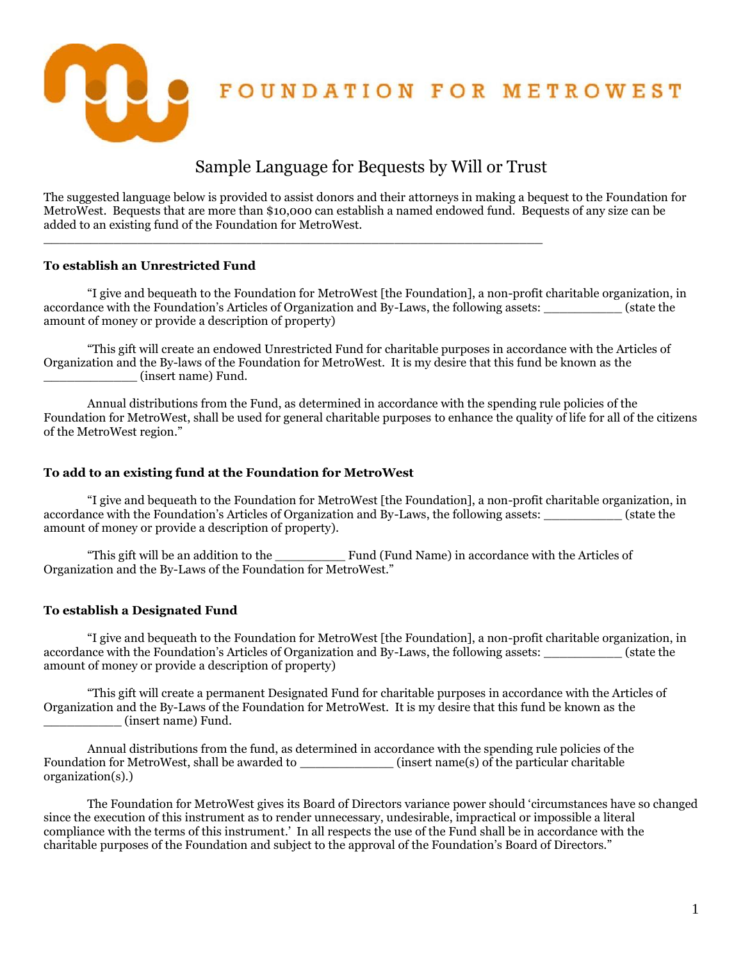FOUNDATION FOR METROWEST

# Sample Language for Bequests by Will or Trust

The suggested language below is provided to assist donors and their attorneys in making a bequest to the Foundation for MetroWest. Bequests that are more than \$10,000 can establish a named endowed fund. Bequests of any size can be added to an existing fund of the Foundation for MetroWest.

 $\Box$ 

## **To establish an Unrestricted Fund**

"I give and bequeath to the Foundation for MetroWest [the Foundation], a non-profit charitable organization, in accordance with the Foundation's Articles of Organization and By-Laws, the following assets: \_\_\_\_\_\_\_\_\_\_ (state the amount of money or provide a description of property)

"This gift will create an endowed Unrestricted Fund for charitable purposes in accordance with the Articles of Organization and the By-laws of the Foundation for MetroWest. It is my desire that this fund be known as the \_\_\_\_\_\_\_\_\_\_\_\_ (insert name) Fund.

Annual distributions from the Fund, as determined in accordance with the spending rule policies of the Foundation for MetroWest, shall be used for general charitable purposes to enhance the quality of life for all of the citizens of the MetroWest region."

## **To add to an existing fund at the Foundation for MetroWest**

"I give and bequeath to the Foundation for MetroWest [the Foundation], a non-profit charitable organization, in accordance with the Foundation's Articles of Organization and By-Laws, the following assets: \_\_\_\_\_\_\_\_\_\_ (state the amount of money or provide a description of property).

"This gift will be an addition to the \_\_\_\_\_\_\_\_\_ Fund (Fund Name) in accordance with the Articles of Organization and the By-Laws of the Foundation for MetroWest."

## **To establish a Designated Fund**

"I give and bequeath to the Foundation for MetroWest [the Foundation], a non-profit charitable organization, in accordance with the Foundation's Articles of Organization and By-Laws, the following assets:  $\qquad \qquad$  (state the amount of money or provide a description of property)

"This gift will create a permanent Designated Fund for charitable purposes in accordance with the Articles of Organization and the By-Laws of the Foundation for MetroWest. It is my desire that this fund be known as the \_\_\_\_\_\_\_\_\_\_ (insert name) Fund.

Annual distributions from the fund, as determined in accordance with the spending rule policies of the Foundation for MetroWest, shall be awarded to \_\_\_\_\_\_\_\_\_\_\_\_\_\_\_\_ (insert name(s) of the particular charitable organization(s).)

The Foundation for MetroWest gives its Board of Directors variance power should 'circumstances have so changed since the execution of this instrument as to render unnecessary, undesirable, impractical or impossible a literal compliance with the terms of this instrument.' In all respects the use of the Fund shall be in accordance with the charitable purposes of the Foundation and subject to the approval of the Foundation's Board of Directors."